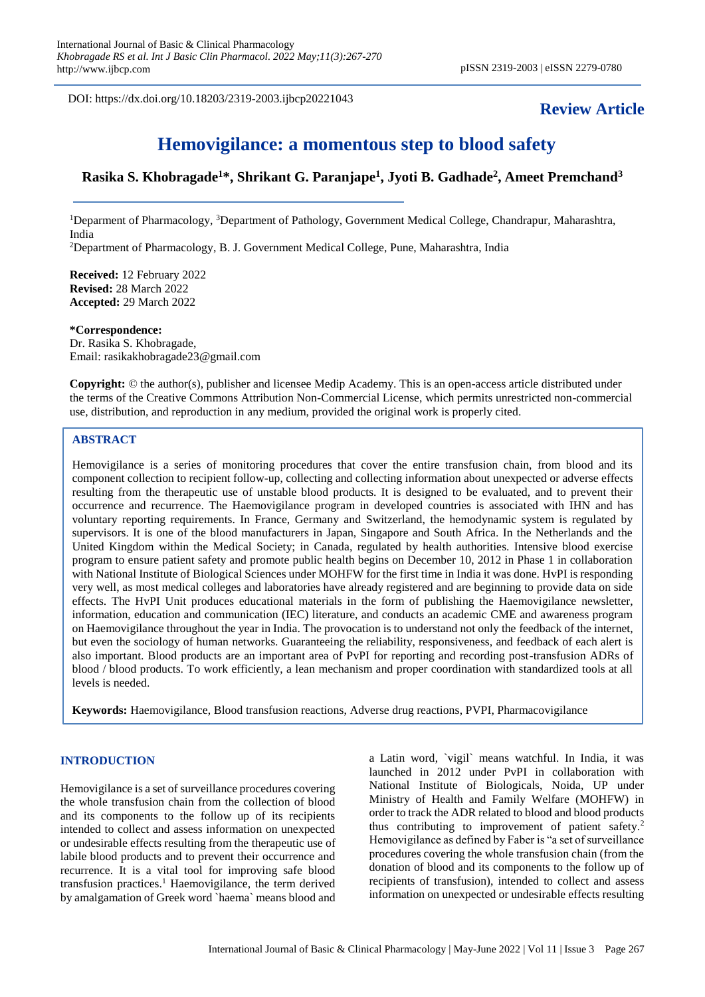DOI: https://dx.doi.org/10.18203/2319-2003.ijbcp20221043

## **Review Article**

# **Hemovigilance: a momentous step to blood safety**

### **Rasika S. Khobragade<sup>1</sup>\*, Shrikant G. Paranjape<sup>1</sup> , Jyoti B. Gadhade<sup>2</sup> , Ameet Premchand<sup>3</sup>**

<sup>1</sup>Deparment of Pharmacology, <sup>3</sup>Department of Pathology, Government Medical College, Chandrapur, Maharashtra, India <sup>2</sup>Department of Pharmacology, B. J. Government Medical College, Pune, Maharashtra, India

**Received:** 12 February 2022 **Revised:** 28 March 2022 **Accepted:** 29 March 2022

**\*Correspondence:** Dr. Rasika S. Khobragade, Email: rasikakhobragade23@gmail.com

**Copyright:** © the author(s), publisher and licensee Medip Academy. This is an open-access article distributed under the terms of the Creative Commons Attribution Non-Commercial License, which permits unrestricted non-commercial use, distribution, and reproduction in any medium, provided the original work is properly cited.

#### **ABSTRACT**

Hemovigilance is a series of monitoring procedures that cover the entire transfusion chain, from blood and its component collection to recipient follow-up, collecting and collecting information about unexpected or adverse effects resulting from the therapeutic use of unstable blood products. It is designed to be evaluated, and to prevent their occurrence and recurrence. The Haemovigilance program in developed countries is associated with IHN and has voluntary reporting requirements. In France, Germany and Switzerland, the hemodynamic system is regulated by supervisors. It is one of the blood manufacturers in Japan, Singapore and South Africa. In the Netherlands and the United Kingdom within the Medical Society; in Canada, regulated by health authorities. Intensive blood exercise program to ensure patient safety and promote public health begins on December 10, 2012 in Phase 1 in collaboration with National Institute of Biological Sciences under MOHFW for the first time in India it was done. HvPI is responding very well, as most medical colleges and laboratories have already registered and are beginning to provide data on side effects. The HvPI Unit produces educational materials in the form of publishing the Haemovigilance newsletter, information, education and communication (IEC) literature, and conducts an academic CME and awareness program on Haemovigilance throughout the year in India. The provocation is to understand not only the feedback of the internet, but even the sociology of human networks. Guaranteeing the reliability, responsiveness, and feedback of each alert is also important. Blood products are an important area of PvPI for reporting and recording post-transfusion ADRs of blood / blood products. To work efficiently, a lean mechanism and proper coordination with standardized tools at all levels is needed.

**Keywords:** Haemovigilance, Blood transfusion reactions, Adverse drug reactions, PVPI, Pharmacovigilance

#### **INTRODUCTION**

Hemovigilance is a set of surveillance procedures covering the whole transfusion chain from the collection of blood and its components to the follow up of its recipients intended to collect and assess information on unexpected or undesirable effects resulting from the therapeutic use of labile blood products and to prevent their occurrence and recurrence. It is a vital tool for improving safe blood transfusion practices.<sup>1</sup> Haemovigilance, the term derived by amalgamation of Greek word `haema` means blood and a Latin word, `vigil` means watchful. In India, it was launched in 2012 under PvPI in collaboration with National Institute of Biologicals, Noida, UP under Ministry of Health and Family Welfare (MOHFW) in order to track the ADR related to blood and blood products thus contributing to improvement of patient safety.<sup>2</sup> Hemovigilance as defined by Faber is "a set of surveillance procedures covering the whole transfusion chain (from the donation of blood and its components to the follow up of recipients of transfusion), intended to collect and assess information on unexpected or undesirable effects resulting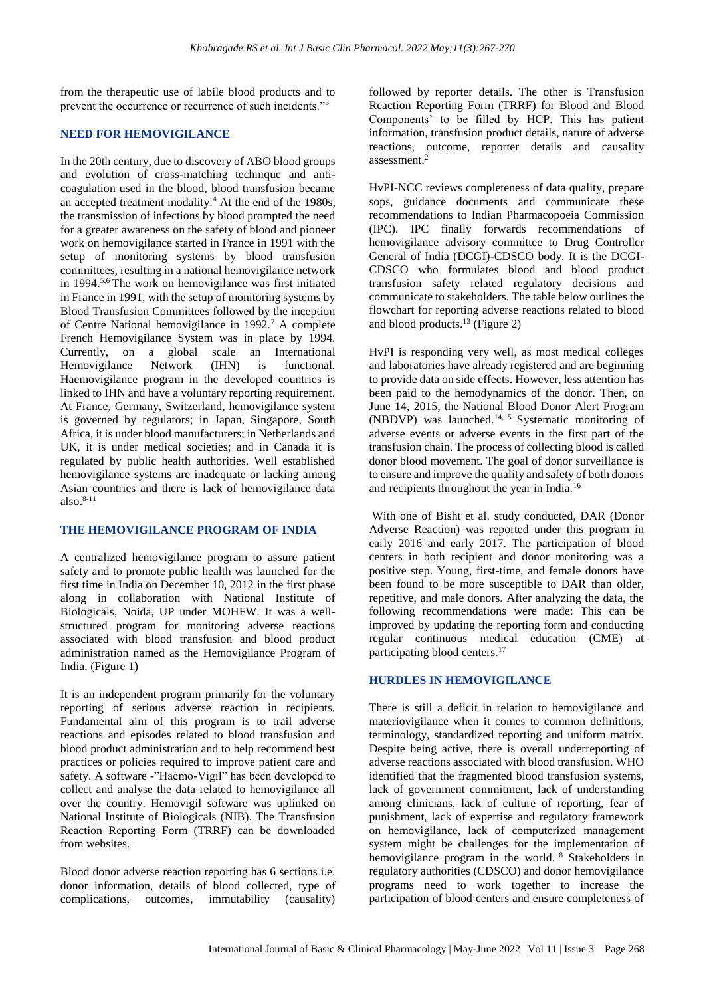from the therapeutic use of labile blood products and to prevent the occurrence or recurrence of such incidents."<sup>3</sup>

#### **NEED FOR HEMOVIGILANCE**

In the 20th century, due to discovery of ABO blood groups and evolution of cross-matching technique and anticoagulation used in the blood, blood transfusion became an accepted treatment modality.<sup>4</sup> At the end of the 1980s, the transmission of infections by blood prompted the need for a greater awareness on the safety of blood and pioneer work on hemovigilance started in France in 1991 with the setup of monitoring systems by blood transfusion committees, resulting in a national hemovigilance network in 1994. 5,6 The work on hemovigilance was first initiated in France in 1991, with the setup of monitoring systems by Blood Transfusion Committees followed by the inception of Centre National hemovigilance in 1992.<sup>7</sup> A complete French Hemovigilance System was in place by 1994. Currently, on a global scale an International Hemovigilance Network (IHN) is functional. Haemovigilance program in the developed countries is linked to IHN and have a voluntary reporting requirement. At France, Germany, Switzerland, hemovigilance system is governed by regulators; in Japan, Singapore, South Africa, it is under blood manufacturers; in Netherlands and UK, it is under medical societies; and in Canada it is regulated by public health authorities. Well established hemovigilance systems are inadequate or lacking among Asian countries and there is lack of hemovigilance data also. 8-11

#### **THE HEMOVIGILANCE PROGRAM OF INDIA**

A centralized hemovigilance program to assure patient safety and to promote public health was launched for the first time in India on December 10, 2012 in the first phase along in collaboration with National Institute of Biologicals, Noida, UP under MOHFW. It was a wellstructured program for monitoring adverse reactions associated with blood transfusion and blood product administration named as the Hemovigilance Program of India. (Figure 1)

It is an independent program primarily for the voluntary reporting of serious adverse reaction in recipients. Fundamental aim of this program is to trail adverse reactions and episodes related to blood transfusion and blood product administration and to help recommend best practices or policies required to improve patient care and safety. A software -"Haemo-Vigil" has been developed to collect and analyse the data related to hemovigilance all over the country. Hemovigil software was uplinked on National Institute of Biologicals (NIB). The Transfusion Reaction Reporting Form (TRRF) can be downloaded from websites.<sup>1</sup>

Blood donor adverse reaction reporting has 6 sections i.e. donor information, details of blood collected, type of complications, outcomes, immutability (causality) followed by reporter details. The other is Transfusion Reaction Reporting Form (TRRF) for Blood and Blood Components' to be filled by HCP. This has patient information, transfusion product details, nature of adverse reactions, outcome, reporter details and causality assessment.<sup>2</sup>

HvPI-NCC reviews completeness of data quality, prepare sops, guidance documents and communicate these recommendations to Indian Pharmacopoeia Commission (IPC). IPC finally forwards recommendations of hemovigilance advisory committee to Drug Controller General of India (DCGI)-CDSCO body. It is the DCGI-CDSCO who formulates blood and blood product transfusion safety related regulatory decisions and communicate to stakeholders. The table below outlines the flowchart for reporting adverse reactions related to blood and blood products.<sup>13</sup> (Figure 2)

HvPI is responding very well, as most medical colleges and laboratories have already registered and are beginning to provide data on side effects. However, less attention has been paid to the hemodynamics of the donor. Then, on June 14, 2015, the National Blood Donor Alert Program (NBDVP) was launched.14,15 Systematic monitoring of adverse events or adverse events in the first part of the transfusion chain. The process of collecting blood is called donor blood movement. The goal of donor surveillance is to ensure and improve the quality and safety of both donors and recipients throughout the year in India.<sup>16</sup>

With one of Bisht et al. study conducted, DAR (Donor Adverse Reaction) was reported under this program in early 2016 and early 2017. The participation of blood centers in both recipient and donor monitoring was a positive step. Young, first-time, and female donors have been found to be more susceptible to DAR than older, repetitive, and male donors. After analyzing the data, the following recommendations were made: This can be improved by updating the reporting form and conducting regular continuous medical education (CME) at participating blood centers.<sup>17</sup>

#### **HURDLES IN HEMOVIGILANCE**

There is still a deficit in relation to hemovigilance and materiovigilance when it comes to common definitions, terminology, standardized reporting and uniform matrix. Despite being active, there is overall underreporting of adverse reactions associated with blood transfusion. WHO identified that the fragmented blood transfusion systems, lack of government commitment, lack of understanding among clinicians, lack of culture of reporting, fear of punishment, lack of expertise and regulatory framework on hemovigilance, lack of computerized management system might be challenges for the implementation of hemovigilance program in the world.<sup>18</sup> Stakeholders in regulatory authorities (CDSCO) and donor hemovigilance programs need to work together to increase the participation of blood centers and ensure completeness of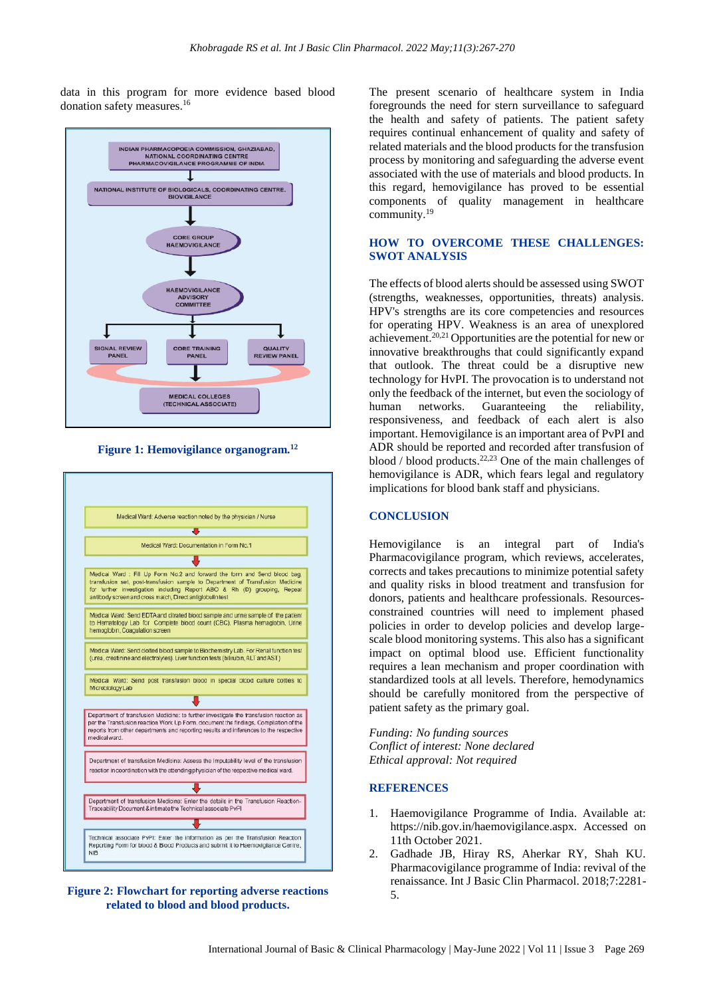data in this program for more evidence based blood donation safety measures.<sup>16</sup>



**Figure 1: Hemovigilance organogram.<sup>12</sup>**



**Figure 2: Flowchart for reporting adverse reactions related to blood and blood products.**

The present scenario of healthcare system in India foregrounds the need for stern surveillance to safeguard the health and safety of patients. The patient safety requires continual enhancement of quality and safety of related materials and the blood products for the transfusion process by monitoring and safeguarding the adverse event associated with the use of materials and blood products. In this regard, hemovigilance has proved to be essential components of quality management in healthcare community.<sup>19</sup>

#### **HOW TO OVERCOME THESE CHALLENGES: SWOT ANALYSIS**

The effects of blood alerts should be assessed using SWOT (strengths, weaknesses, opportunities, threats) analysis. HPV's strengths are its core competencies and resources for operating HPV. Weakness is an area of unexplored achievement.20,21 Opportunities are the potential for new or innovative breakthroughs that could significantly expand that outlook. The threat could be a disruptive new technology for HvPI. The provocation is to understand not only the feedback of the internet, but even the sociology of human networks. Guaranteeing the reliability, responsiveness, and feedback of each alert is also important. Hemovigilance is an important area of PvPI and ADR should be reported and recorded after transfusion of blood / blood products. 22,23 One of the main challenges of hemovigilance is ADR, which fears legal and regulatory implications for blood bank staff and physicians.

#### **CONCLUSION**

Hemovigilance is an integral part of India's Pharmacovigilance program, which reviews, accelerates, corrects and takes precautions to minimize potential safety and quality risks in blood treatment and transfusion for donors, patients and healthcare professionals. Resourcesconstrained countries will need to implement phased policies in order to develop policies and develop largescale blood monitoring systems. This also has a significant impact on optimal blood use. Efficient functionality requires a lean mechanism and proper coordination with standardized tools at all levels. Therefore, hemodynamics should be carefully monitored from the perspective of patient safety as the primary goal.

*Funding: No funding sources Conflict of interest: None declared Ethical approval: Not required*

#### **REFERENCES**

- 1. Haemovigilance Programme of India. Available at: https://nib.gov.in/haemovigilance.aspx. Accessed on 11th October 2021.
- 2. Gadhade JB, Hiray RS, Aherkar RY, Shah KU. Pharmacovigilance programme of India: revival of the renaissance. Int J Basic Clin Pharmacol. 2018;7:2281- 5.